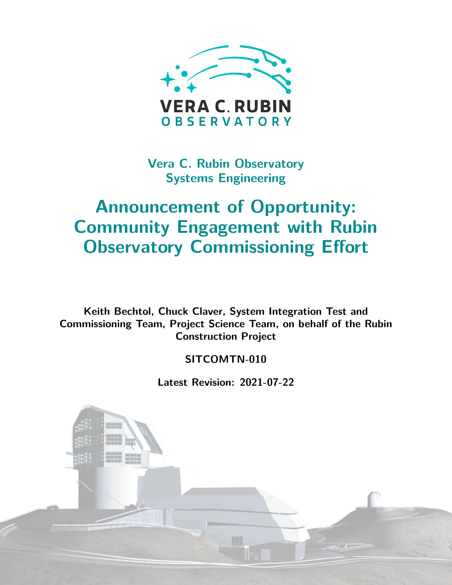

**Vera C. Rubin Observatory Systems Engineering**

# **Announcement of Opportunity: Community Engagement with Rubin Observatory Commissioning Effort**

**Keith Bechtol, Chuck Claver, System Integration Test and Commissioning Team, Project Science Team, on behalf of the Rubin Construction Project**

**SITCOMTN-010**

**Latest Revision: 2021-07-22**

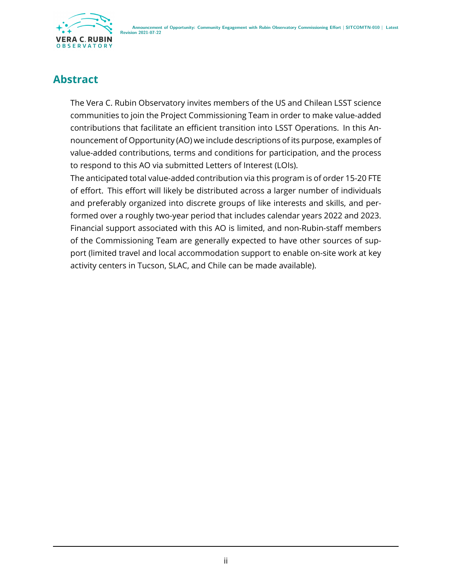

### **Abstract**

The Vera C. Rubin Observatory invites members of the US and Chilean LSST science communities to join the Project Commissioning Team in order to make value-added contributions that facilitate an efficient transition into LSST Operations. In this Announcement of Opportunity (AO) we include descriptions of its purpose, examples of value-added contributions, terms and conditions for participation, and the process to respond to this AO via submitted Letters of Interest (LOIs).

The anticipated total value-added contribution via this program is of order 15-20 FTE of effort. This effort will likely be distributed across a larger number of individuals and preferably organized into discrete groups of like interests and skills, and performed over a roughly two-year period that includes calendar years 2022 and 2023. Financial support associated with this AO is limited, and non-Rubin-staff members of the Commissioning Team are generally expected to have other sources of support (limited travel and local accommodation support to enable on-site work at key activity centers in Tucson, SLAC, and Chile can be made available).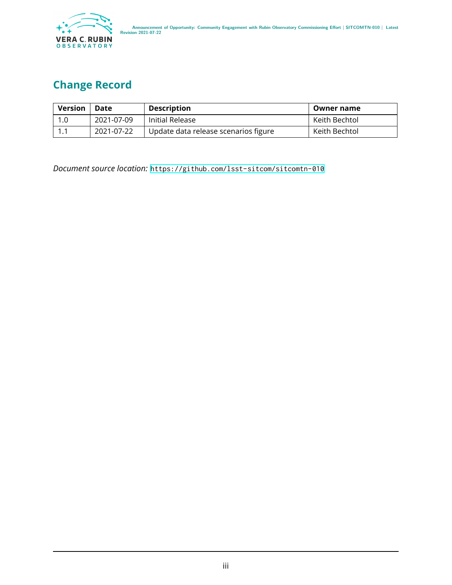

# **Change Record**

| <b>Version</b> | Date       | <b>Description</b>                   | Owner name    |
|----------------|------------|--------------------------------------|---------------|
| 1.0            | 2021-07-09 | Initial Release                      | Keith Bechtol |
|                | 2021-07-22 | Update data release scenarios figure | Keith Bechtol |

*Document source location:* <https://github.com/lsst-sitcom/sitcomtn-010>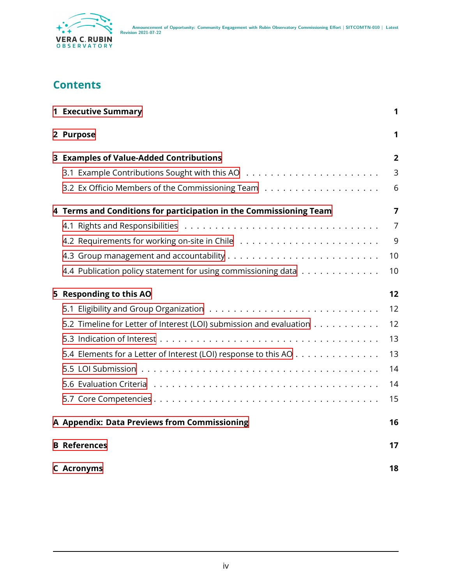

### **Contents**

| <b>1 Executive Summary</b>                                          | 1              |
|---------------------------------------------------------------------|----------------|
| 2 Purpose                                                           | 1              |
| 3 Examples of Value-Added Contributions                             | 2              |
|                                                                     | 3              |
|                                                                     | 6              |
| 4 Terms and Conditions for participation in the Commissioning Team  | 7              |
|                                                                     | $\overline{7}$ |
|                                                                     | 9              |
|                                                                     | 10             |
| 4.4 Publication policy statement for using commissioning data       | 10             |
| 5 Responding to this AO                                             | 12             |
|                                                                     | 12             |
| 5.2 Timeline for Letter of Interest (LOI) submission and evaluation | 12             |
|                                                                     | 13             |
| 5.4 Elements for a Letter of Interest (LOI) response to this AO     | 13             |
|                                                                     | 14             |
|                                                                     | 14             |
|                                                                     | 15             |
| A Appendix: Data Previews from Commissioning                        | 16             |
| <b>B</b> References                                                 | 17             |
| <b>C</b> Acronyms                                                   | 18             |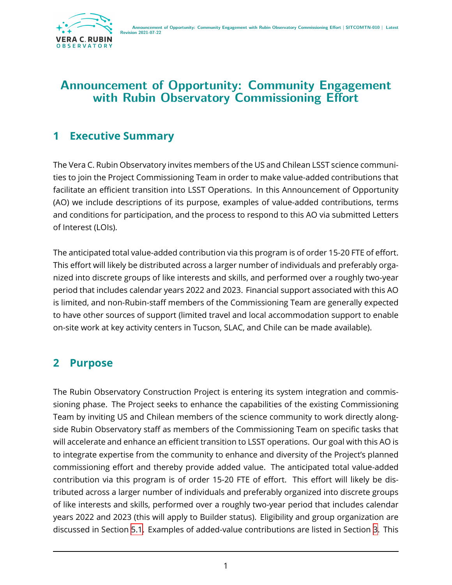

# **Announcement of Opportunity: Community Engagement with Rubin Observatory Commissioning Effort**

# <span id="page-4-0"></span>**1 Executive Summary**

The Vera C. Rubin Observatory invites members of the US and Chilean LSST science communities to join the Project Commissioning Team in order to make value-added contributions that facilitate an efficient transition into LSST Operations. In this Announcement of Opportunity (AO) we include descriptions of its purpose, examples of value-added contributions, terms and conditions for participation, and the process to respond to this AO via submitted Letters of Interest (LOIs).

The anticipated total value-added contribution via this program is of order 15-20 FTE of effort. This effort will likely be distributed across a larger number of individuals and preferably organized into discrete groups of like interests and skills, and performed over a roughly two-year period that includes calendar years 2022 and 2023. Financial support associated with this AO is limited, and non-Rubin-staff members of the Commissioning Team are generally expected to have other sources of support (limited travel and local accommodation support to enable on-site work at key activity centers in Tucson, SLAC, and Chile can be made available).

# <span id="page-4-1"></span>**2 Purpose**

The Rubin Observatory Construction Project is entering its system integration and commissioning phase. The Project seeks to enhance the capabilities of the existing Commissioning Team by inviting US and Chilean members of the science community to work directly alongside Rubin Observatory staff as members of the Commissioning Team on specific tasks that will accelerate and enhance an efficient transition to LSST operations. Our goal with this AO is to integrate expertise from the community to enhance and diversity of the Project's planned commissioning effort and thereby provide added value. The anticipated total value-added contribution via this program is of order 15-20 FTE of effort. This effort will likely be distributed across a larger number of individuals and preferably organized into discrete groups of like interests and skills, performed over a roughly two-year period that includes calendar years 2022 and 2023 (this will apply to Builder status). Eligibility and group organization are discussed in Section [5.1](#page-15-1). Examples of added-value contributions are listed in Section [3.](#page-5-0) This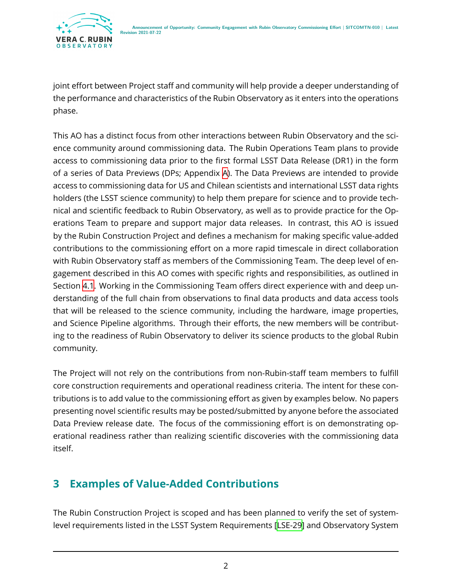joint effort between Project staff and community will help provide a deeper understanding of the performance and characteristics of the Rubin Observatory as it enters into the operations phase.

This AO has a distinct focus from other interactions between Rubin Observatory and the science community around commissioning data. The Rubin Operations Team plans to provide access to commissioning data prior to the first formal LSST Data Release (DR1) in the form of a series of Data Previews (DPs; Appendix [A\)](#page-19-0). The Data Previews are intended to provide access to commissioning data for US and Chilean scientists and international LSST data rights holders (the LSST science community) to help them prepare for science and to provide technical and scientific feedback to Rubin Observatory, as well as to provide practice for the Operations Team to prepare and support major data releases. In contrast, this AO is issued by the Rubin Construction Project and defines a mechanism for making specific value-added contributions to the commissioning effort on a more rapid timescale in direct collaboration with Rubin Observatory staff as members of the Commissioning Team. The deep level of engagement described in this AO comes with specific rights and responsibilities, as outlined in Section [4.1](#page-10-1). Working in the Commissioning Team offers direct experience with and deep understanding of the full chain from observations to final data products and data access tools that will be released to the science community, including the hardware, image properties, and Science Pipeline algorithms. Through their efforts, the new members will be contributing to the readiness of Rubin Observatory to deliver its science products to the global Rubin community.

The Project will not rely on the contributions from non-Rubin-staff team members to fulfill core construction requirements and operational readiness criteria. The intent for these contributions is to add value to the commissioning effort as given by examples below. No papers presenting novel scientific results may be posted/submitted by anyone before the associated Data Preview release date. The focus of the commissioning effort is on demonstrating operational readiness rather than realizing scientific discoveries with the commissioning data itself.

# <span id="page-5-0"></span>**3 Examples of Value-Added Contributions**

The Rubin Construction Project is scoped and has been planned to verify the set of systemlevel requirements listed in the LSST System Requirements [\[LSE-29](#page-21-1)] and Observatory System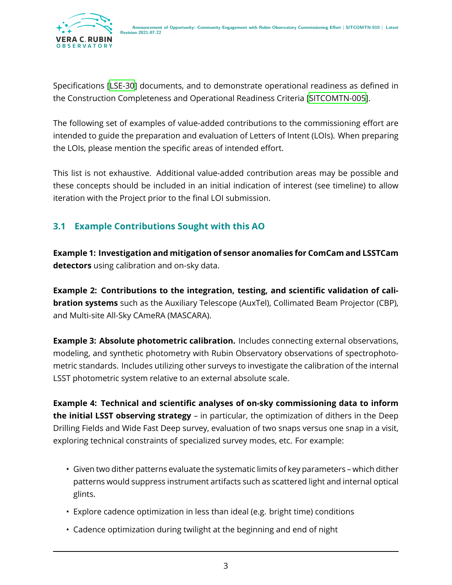Specifications[[LSE-30](#page-21-2)] documents, and to demonstrate operational readiness as defined in the Construction Completeness and Operational Readiness Criteria[[SITCOMTN-005\]](#page-21-3).

The following set of examples of value-added contributions to the commissioning effort are intended to guide the preparation and evaluation of Letters of Intent (LOIs). When preparing the LOIs, please mention the specific areas of intended effort.

This list is not exhaustive. Additional value-added contribution areas may be possible and these concepts should be included in an initial indication of interest (see timeline) to allow iteration with the Project prior to the final LOI submission.

#### <span id="page-6-0"></span>**3.1 Example Contributions Sought with this AO**

**Example 1: Investigation and mitigation of sensor anomalies for ComCam and LSSTCam detectors** using calibration and on-sky data.

**Example 2: Contributions to the integration, testing, and scientific validation of calibration systems** such as the Auxiliary Telescope (AuxTel), Collimated Beam Projector (CBP), and Multi-site All-Sky CAmeRA (MASCARA).

**Example 3: Absolute photometric calibration.** Includes connecting external observations, modeling, and synthetic photometry with Rubin Observatory observations of spectrophotometric standards. Includes utilizing other surveys to investigate the calibration of the internal LSST photometric system relative to an external absolute scale.

**Example 4: Technical and scientific analyses of on-sky commissioning data to inform the initial LSST observing strategy** – in particular, the optimization of dithers in the Deep Drilling Fields and Wide Fast Deep survey, evaluation of two snaps versus one snap in a visit, exploring technical constraints of specialized survey modes, etc. For example:

- Given two dither patterns evaluate the systematic limits of key parameters which dither patterns would suppress instrument artifacts such as scattered light and internal optical glints.
- Explore cadence optimization in less than ideal (e.g. bright time) conditions
- Cadence optimization during twilight at the beginning and end of night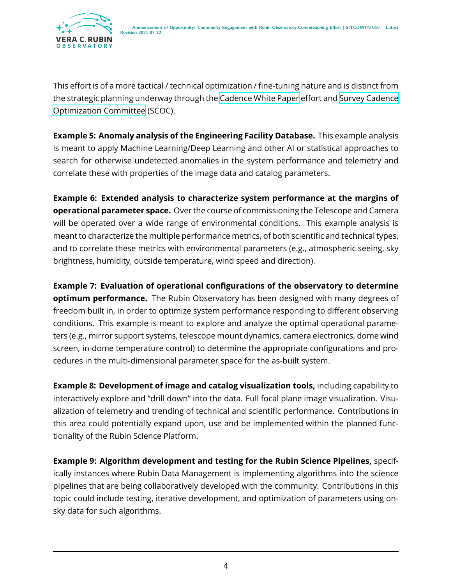

This effort is of a more tactical / technical optimization / fine-tuning nature and is distinct from the strategic planning underway through the [Cadence White Paper](https://www.lsst.org/content/survey-cadence-notes-2021) effort and [Survey Cadence](https://www.lsst.org/content/charge-survey-cadence-optimization-committee-scoc) [Optimization Committee](https://www.lsst.org/content/charge-survey-cadence-optimization-committee-scoc) (SCOC).

**Example 5: Anomaly analysis of the Engineering Facility Database.** This example analysis is meant to apply Machine Learning/Deep Learning and other AI or statistical approaches to search for otherwise undetected anomalies in the system performance and telemetry and correlate these with properties of the image data and catalog parameters.

**Example 6: Extended analysis to characterize system performance at the margins of operational parameter space.** Over the course of commissioning the Telescope and Camera will be operated over a wide range of environmental conditions. This example analysis is meant to characterize the multiple performance metrics, of both scientific and technical types, and to correlate these metrics with environmental parameters (e.g., atmospheric seeing, sky brightness, humidity, outside temperature, wind speed and direction).

**Example 7: Evaluation of operational configurations of the observatory to determine optimum performance.** The Rubin Observatory has been designed with many degrees of freedom built in, in order to optimize system performance responding to different observing conditions. This example is meant to explore and analyze the optimal operational parameters (e.g., mirror support systems, telescope mount dynamics, camera electronics, dome wind screen, in-dome temperature control) to determine the appropriate configurations and procedures in the multi-dimensional parameter space for the as-built system.

**Example 8: Development of image and catalog visualization tools,** including capability to interactively explore and "drill down" into the data. Full focal plane image visualization. Visualization of telemetry and trending of technical and scientific performance. Contributions in this area could potentially expand upon, use and be implemented within the planned functionality of the Rubin Science Platform.

**Example 9: Algorithm development and testing for the Rubin Science Pipelines,** specifically instances where Rubin Data Management is implementing algorithms into the science pipelines that are being collaboratively developed with the community. Contributions in this topic could include testing, iterative development, and optimization of parameters using onsky data for such algorithms.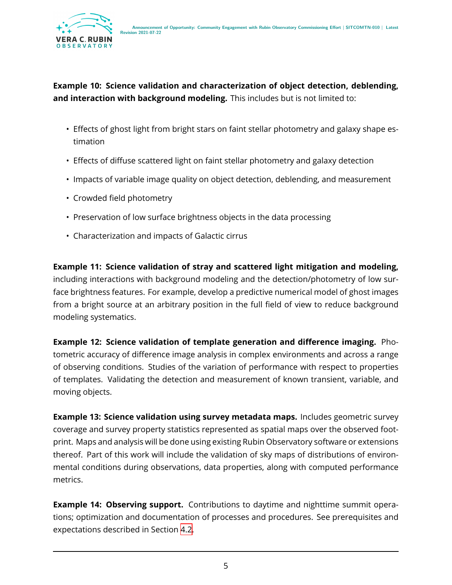

#### **Example 10: Science validation and characterization of object detection, deblending, and interaction with background modeling.** This includes but is not limited to:

- Effects of ghost light from bright stars on faint stellar photometry and galaxy shape estimation
- Effects of diffuse scattered light on faint stellar photometry and galaxy detection
- Impacts of variable image quality on object detection, deblending, and measurement
- Crowded field photometry
- Preservation of low surface brightness objects in the data processing
- Characterization and impacts of Galactic cirrus

**Example 11: Science validation of stray and scattered light mitigation and modeling,** including interactions with background modeling and the detection/photometry of low surface brightness features. For example, develop a predictive numerical model of ghost images from a bright source at an arbitrary position in the full field of view to reduce background modeling systematics.

**Example 12: Science validation of template generation and difference imaging.** Photometric accuracy of difference image analysis in complex environments and across a range of observing conditions. Studies of the variation of performance with respect to properties of templates. Validating the detection and measurement of known transient, variable, and moving objects.

**Example 13: Science validation using survey metadata maps.** Includes geometric survey coverage and survey property statistics represented as spatial maps over the observed footprint. Maps and analysis will be done using existing Rubin Observatory software or extensions thereof. Part of this work will include the validation of sky maps of distributions of environmental conditions during observations, data properties, along with computed performance metrics.

**Example 14: Observing support.** Contributions to daytime and nighttime summit operations; optimization and documentation of processes and procedures. See prerequisites and expectations described in Section [4.2](#page-12-0).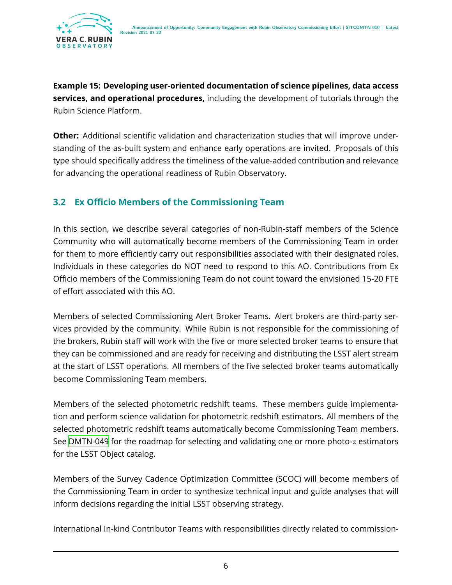**Example 15: Developing user-oriented documentation of science pipelines, data access services, and operational procedures,** including the development of tutorials through the Rubin Science Platform.

**Other:** Additional scientific validation and characterization studies that will improve understanding of the as-built system and enhance early operations are invited. Proposals of this type should specifically address the timeliness of the value-added contribution and relevance for advancing the operational readiness of Rubin Observatory.

#### <span id="page-9-0"></span>**3.2 Ex Officio Members of the Commissioning Team**

In this section, we describe several categories of non-Rubin-staff members of the Science Community who will automatically become members of the Commissioning Team in order for them to more efficiently carry out responsibilities associated with their designated roles. Individuals in these categories do NOT need to respond to this AO. Contributions from Ex Officio members of the Commissioning Team do not count toward the envisioned 15-20 FTE of effort associated with this AO.

Members of selected Commissioning Alert Broker Teams. Alert brokers are third-party services provided by the community. While Rubin is not responsible for the commissioning of the brokers, Rubin staff will work with the five or more selected broker teams to ensure that they can be commissioned and are ready for receiving and distributing the LSST alert stream at the start of LSST operations. All members of the five selected broker teams automatically become Commissioning Team members.

Members of the selected photometric redshift teams. These members guide implementation and perform science validation for photometric redshift estimators. All members of the selected photometric redshift teams automatically become Commissioning Team members. See [DMTN-049](#page-21-4) for the roadmap for selecting and validating one or more photo- $z$  estimators for the LSST Object catalog.

Members of the Survey Cadence Optimization Committee (SCOC) will become members of the Commissioning Team in order to synthesize technical input and guide analyses that will inform decisions regarding the initial LSST observing strategy.

International In-kind Contributor Teams with responsibilities directly related to commission-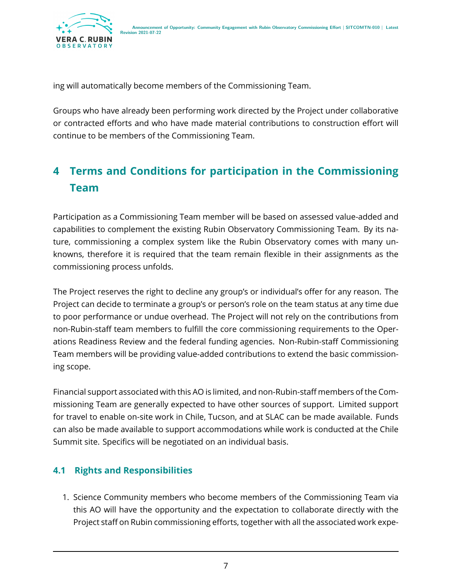

ing will automatically become members of the Commissioning Team.

Groups who have already been performing work directed by the Project under collaborative or contracted efforts and who have made material contributions to construction effort will continue to be members of the Commissioning Team.

# <span id="page-10-0"></span>**4 Terms and Conditions for participation in the Commissioning Team**

Participation as a Commissioning Team member will be based on assessed value-added and capabilities to complement the existing Rubin Observatory Commissioning Team. By its nature, commissioning a complex system like the Rubin Observatory comes with many unknowns, therefore it is required that the team remain flexible in their assignments as the commissioning process unfolds.

The Project reserves the right to decline any group's or individual's offer for any reason. The Project can decide to terminate a group's or person's role on the team status at any time due to poor performance or undue overhead. The Project will not rely on the contributions from non-Rubin-staff team members to fulfill the core commissioning requirements to the Operations Readiness Review and the federal funding agencies. Non-Rubin-staff Commissioning Team members will be providing value-added contributions to extend the basic commissioning scope.

Financial support associated with this AO is limited, and non-Rubin-staff members of the Commissioning Team are generally expected to have other sources of support. Limited support for travel to enable on-site work in Chile, Tucson, and at SLAC can be made available. Funds can also be made available to support accommodations while work is conducted at the Chile Summit site. Specifics will be negotiated on an individual basis.

#### <span id="page-10-1"></span>**4.1 Rights and Responsibilities**

1. Science Community members who become members of the Commissioning Team via this AO will have the opportunity and the expectation to collaborate directly with the Project staff on Rubin commissioning efforts, together with all the associated work expe-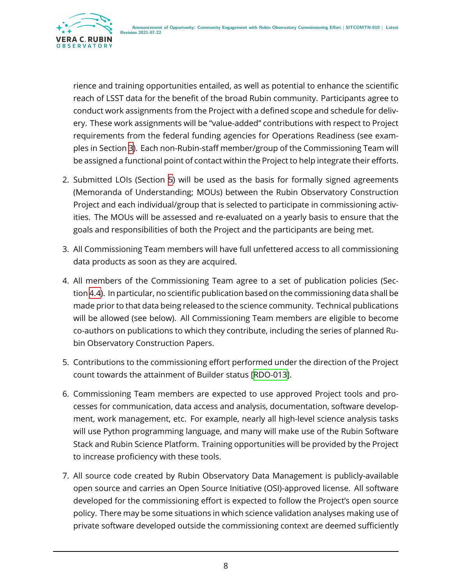

rience and training opportunities entailed, as well as potential to enhance the scientific reach of LSST data for the benefit of the broad Rubin community. Participants agree to conduct work assignments from the Project with a defined scope and schedule for delivery. These work assignments will be "value-added" contributions with respect to Project requirements from the federal funding agencies for Operations Readiness (see examples in Section [3\)](#page-5-0). Each non-Rubin-staff member/group of the Commissioning Team will be assigned a functional point of contact within the Project to help integrate their efforts.

- 2. Submitted LOIs (Section [5](#page-15-0)) will be used as the basis for formally signed agreements (Memoranda of Understanding; MOUs) between the Rubin Observatory Construction Project and each individual/group that is selected to participate in commissioning activities. The MOUs will be assessed and re-evaluated on a yearly basis to ensure that the goals and responsibilities of both the Project and the participants are being met.
- 3. All Commissioning Team members will have full unfettered access to all commissioning data products as soon as they are acquired.
- 4. All members of the Commissioning Team agree to a set of publication policies (Section [4.4\)](#page-13-1). In particular, no scientific publication based on the commissioning data shall be made prior to that data being released to the science community. Technical publications will be allowed (see below). All Commissioning Team members are eligible to become co-authors on publications to which they contribute, including the series of planned Rubin Observatory Construction Papers.
- 5. Contributions to the commissioning effort performed under the direction of the Project count towards the attainment of Builder status[[RDO-013\]](#page-20-1).
- 6. Commissioning Team members are expected to use approved Project tools and processes for communication, data access and analysis, documentation, software development, work management, etc. For example, nearly all high-level science analysis tasks will use Python programming language, and many will make use of the Rubin Software Stack and Rubin Science Platform. Training opportunities will be provided by the Project to increase proficiency with these tools.
- 7. All source code created by Rubin Observatory Data Management is publicly-available open source and carries an Open Source Initiative (OSI)-approved license. All software developed for the commissioning effort is expected to follow the Project's open source policy. There may be some situations in which science validation analyses making use of private software developed outside the commissioning context are deemed sufficiently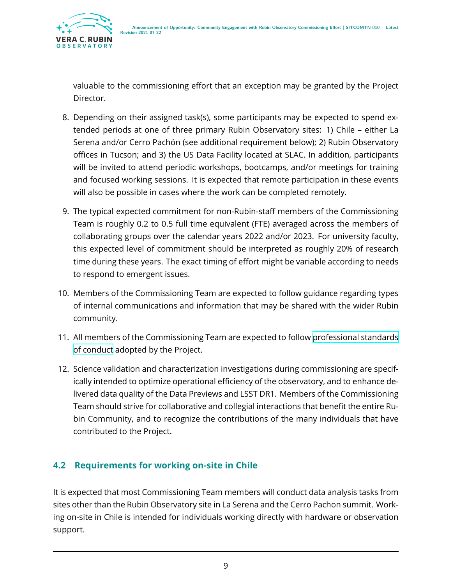

valuable to the commissioning effort that an exception may be granted by the Project Director.

- 8. Depending on their assigned task(s), some participants may be expected to spend extended periods at one of three primary Rubin Observatory sites: 1) Chile – either La Serena and/or Cerro Pachón (see additional requirement below); 2) Rubin Observatory offices in Tucson; and 3) the US Data Facility located at SLAC. In addition, participants will be invited to attend periodic workshops, bootcamps, and/or meetings for training and focused working sessions. It is expected that remote participation in these events will also be possible in cases where the work can be completed remotely.
- 9. The typical expected commitment for non-Rubin-staff members of the Commissioning Team is roughly 0.2 to 0.5 full time equivalent (FTE) averaged across the members of collaborating groups over the calendar years 2022 and/or 2023. For university faculty, this expected level of commitment should be interpreted as roughly 20% of research time during these years. The exact timing of effort might be variable according to needs to respond to emergent issues.
- 10. Members of the Commissioning Team are expected to follow guidance regarding types of internal communications and information that may be shared with the wider Rubin community.
- 11. All members of the Commissioning Team are expected to follow [professional standards](https://www.lsst.org/scientists/codes-of-conduct) [of conduct](https://www.lsst.org/scientists/codes-of-conduct) adopted by the Project.
- 12. Science validation and characterization investigations during commissioning are specifically intended to optimize operational efficiency of the observatory, and to enhance delivered data quality of the Data Previews and LSST DR1. Members of the Commissioning Team should strive for collaborative and collegial interactions that benefit the entire Rubin Community, and to recognize the contributions of the many individuals that have contributed to the Project.

#### <span id="page-12-0"></span>**4.2 Requirements for working on-site in Chile**

It is expected that most Commissioning Team members will conduct data analysis tasks from sites other than the Rubin Observatory site in La Serena and the Cerro Pachon summit. Working on-site in Chile is intended for individuals working directly with hardware or observation support.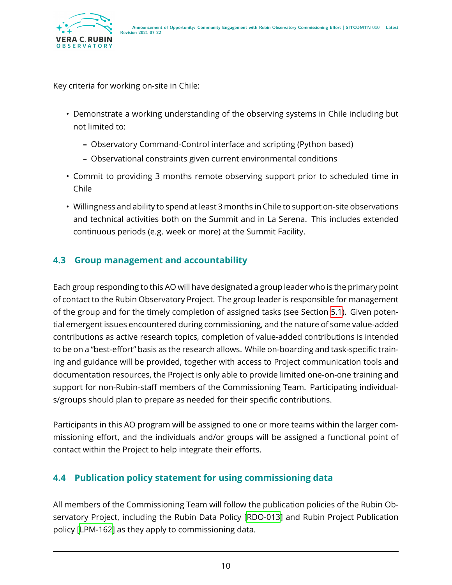

Key criteria for working on-site in Chile:

- Demonstrate a working understanding of the observing systems in Chile including but not limited to:
	- **–** Observatory Command-Control interface and scripting (Python based)
	- **–** Observational constraints given current environmental conditions
- Commit to providing 3 months remote observing support prior to scheduled time in Chile
- Willingness and ability to spend at least 3 months in Chile to support on-site observations and technical activities both on the Summit and in La Serena. This includes extended continuous periods (e.g. week or more) at the Summit Facility.

#### <span id="page-13-0"></span>**4.3 Group management and accountability**

Each group responding to this AO will have designated a group leader who is the primary point of contact to the Rubin Observatory Project. The group leader is responsible for management of the group and for the timely completion of assigned tasks (see Section [5.1\)](#page-15-1). Given potential emergent issues encountered during commissioning, and the nature of some value-added contributions as active research topics, completion of value-added contributions is intended to be on a "best-effort" basis as the research allows. While on-boarding and task-specific training and guidance will be provided, together with access to Project communication tools and documentation resources, the Project is only able to provide limited one-on-one training and support for non-Rubin-staff members of the Commissioning Team. Participating individuals/groups should plan to prepare as needed for their specific contributions.

Participants in this AO program will be assigned to one or more teams within the larger commissioning effort, and the individuals and/or groups will be assigned a functional point of contact within the Project to help integrate their efforts.

#### <span id="page-13-1"></span>**4.4 Publication policy statement for using commissioning data**

All members of the Commissioning Team will follow the publication policies of the Rubin Observatory Project, including the Rubin Data Policy [\[RDO-013\]](#page-20-1) and Rubin Project Publication policy[[LPM-162](#page-21-5)] as they apply to commissioning data.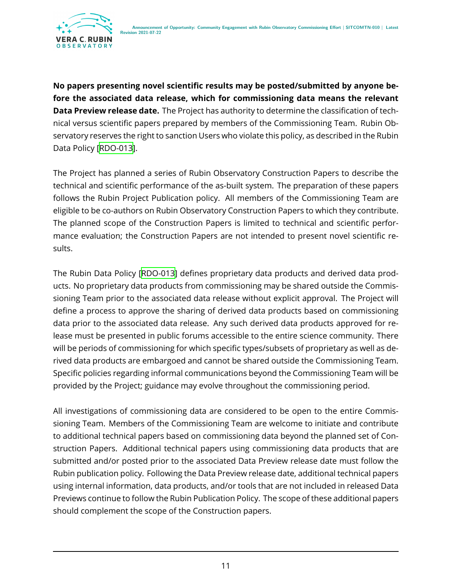

**No papers presenting novel scientific results may be posted/submitted by anyone before the associated data release, which for commissioning data means the relevant Data Preview release date.** The Project has authority to determine the classification of technical versus scientific papers prepared by members of the Commissioning Team. Rubin Observatory reserves the right to sanction Users who violate this policy, as described in the Rubin Data Policy[[RDO-013\]](#page-20-1).

The Project has planned a series of Rubin Observatory Construction Papers to describe the technical and scientific performance of the as-built system. The preparation of these papers follows the Rubin Project Publication policy. All members of the Commissioning Team are eligible to be co-authors on Rubin Observatory Construction Papers to which they contribute. The planned scope of the Construction Papers is limited to technical and scientific performance evaluation; the Construction Papers are not intended to present novel scientific results.

The Rubin Data Policy [\[RDO-013\]](#page-20-1) defines proprietary data products and derived data products. No proprietary data products from commissioning may be shared outside the Commissioning Team prior to the associated data release without explicit approval. The Project will define a process to approve the sharing of derived data products based on commissioning data prior to the associated data release. Any such derived data products approved for release must be presented in public forums accessible to the entire science community. There will be periods of commissioning for which specific types/subsets of proprietary as well as derived data products are embargoed and cannot be shared outside the Commissioning Team. Specific policies regarding informal communications beyond the Commissioning Team will be provided by the Project; guidance may evolve throughout the commissioning period.

All investigations of commissioning data are considered to be open to the entire Commissioning Team. Members of the Commissioning Team are welcome to initiate and contribute to additional technical papers based on commissioning data beyond the planned set of Construction Papers. Additional technical papers using commissioning data products that are submitted and/or posted prior to the associated Data Preview release date must follow the Rubin publication policy. Following the Data Preview release date, additional technical papers using internal information, data products, and/or tools that are not included in released Data Previews continue to follow the Rubin Publication Policy. The scope of these additional papers should complement the scope of the Construction papers.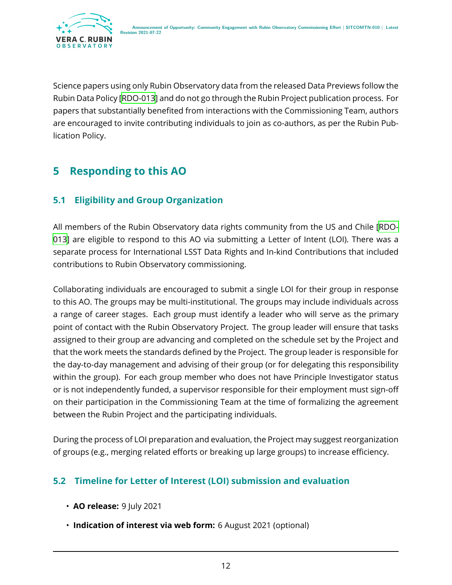

Science papers using only Rubin Observatory data from the released Data Previews follow the Rubin Data Policy[[RDO-013](#page-20-1)] and do not go through the Rubin Project publication process. For papers that substantially benefited from interactions with the Commissioning Team, authors are encouraged to invite contributing individuals to join as co-authors, as per the Rubin Publication Policy.

# <span id="page-15-0"></span>**5 Responding to this AO**

#### <span id="page-15-1"></span>**5.1 Eligibility and Group Organization**

All members of the Rubin Observatory data rights community from the US and Chile [\[RDO-](#page-20-1)[013\]](#page-20-1) are eligible to respond to this AO via submitting a Letter of Intent (LOI). There was a separate process for International LSST Data Rights and In-kind Contributions that included contributions to Rubin Observatory commissioning.

Collaborating individuals are encouraged to submit a single LOI for their group in response to this AO. The groups may be multi-institutional. The groups may include individuals across a range of career stages. Each group must identify a leader who will serve as the primary point of contact with the Rubin Observatory Project. The group leader will ensure that tasks assigned to their group are advancing and completed on the schedule set by the Project and that the work meets the standards defined by the Project. The group leader is responsible for the day-to-day management and advising of their group (or for delegating this responsibility within the group). For each group member who does not have Principle Investigator status or is not independently funded, a supervisor responsible for their employment must sign-off on their participation in the Commissioning Team at the time of formalizing the agreement between the Rubin Project and the participating individuals.

During the process of LOI preparation and evaluation, the Project may suggest reorganization of groups (e.g., merging related efforts or breaking up large groups) to increase efficiency.

#### <span id="page-15-2"></span>**5.2 Timeline for Letter of Interest (LOI) submission and evaluation**

- **AO release:** 9 July 2021
- **Indication of interest via web form:** 6 August 2021 (optional)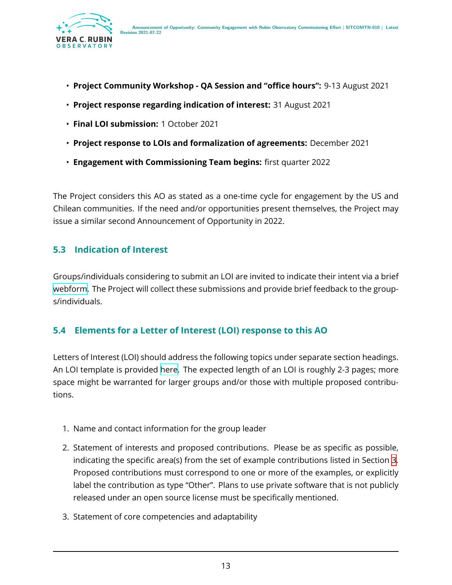

- **Project Community Workshop QA Session and "office hours":** 9-13 August 2021
- **Project response regarding indication of interest:** 31 August 2021
- **Final LOI submission:** 1 October 2021
- **Project response to LOIs and formalization of agreements:** December 2021
- **Engagement with Commissioning Team begins:** first quarter 2022

The Project considers this AO as stated as a one-time cycle for engagement by the US and Chilean communities. If the need and/or opportunities present themselves, the Project may issue a similar second Announcement of Opportunity in 2022.

#### <span id="page-16-0"></span>**5.3 Indication of Interest**

Groups/individuals considering to submit an LOI are invited to indicate their intent via a brief [webform](https://forms.gle/fu5WsRgEYewbSvs76). The Project will collect these submissions and provide brief feedback to the groups/individuals.

#### <span id="page-16-1"></span>**5.4 Elements for a Letter of Interest (LOI) response to this AO**

Letters of Interest (LOI) should address the following topics under separate section headings. An LOI template is provided [here.](https://docs.google.com/document/d/12mYS3H0xRZme2t0leGIHfzwNgh575QhqsVnoUz7ybqQ/edit?usp=sharing) The expected length of an LOI is roughly 2-3 pages; more space might be warranted for larger groups and/or those with multiple proposed contributions.

- 1. Name and contact information for the group leader
- 2. Statement of interests and proposed contributions. Please be as specific as possible, indicating the specific area(s) from the set of example contributions listed in Section [3](#page-5-0). Proposed contributions must correspond to one or more of the examples, or explicitly label the contribution as type "Other". Plans to use private software that is not publicly released under an open source license must be specifically mentioned.
- 3. Statement of core competencies and adaptability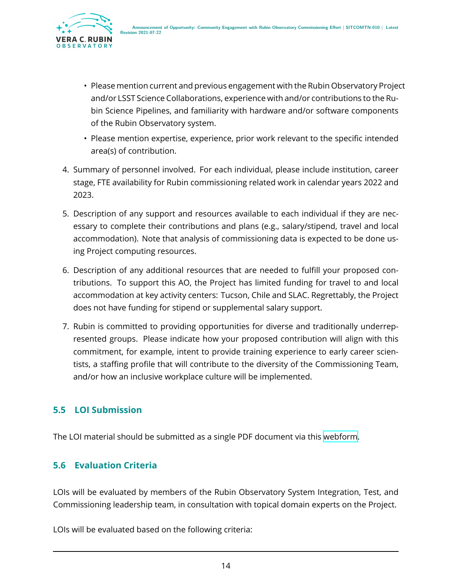

- Please mention current and previous engagement with the Rubin Observatory Project and/or LSST Science Collaborations, experience with and/or contributions to the Rubin Science Pipelines, and familiarity with hardware and/or software components of the Rubin Observatory system.
- Please mention expertise, experience, prior work relevant to the specific intended area(s) of contribution.
- 4. Summary of personnel involved. For each individual, please include institution, career stage, FTE availability for Rubin commissioning related work in calendar years 2022 and 2023.
- 5. Description of any support and resources available to each individual if they are necessary to complete their contributions and plans (e.g., salary/stipend, travel and local accommodation). Note that analysis of commissioning data is expected to be done using Project computing resources.
- 6. Description of any additional resources that are needed to fulfill your proposed contributions. To support this AO, the Project has limited funding for travel to and local accommodation at key activity centers: Tucson, Chile and SLAC. Regrettably, the Project does not have funding for stipend or supplemental salary support.
- 7. Rubin is committed to providing opportunities for diverse and traditionally underrepresented groups. Please indicate how your proposed contribution will align with this commitment, for example, intent to provide training experience to early career scientists, a staffing profile that will contribute to the diversity of the Commissioning Team, and/or how an inclusive workplace culture will be implemented.

#### <span id="page-17-0"></span>**5.5 LOI Submission**

<span id="page-17-1"></span>The LOI material should be submitted as a single PDF document via this [webform.](https://forms.gle/K6pKZDbS19gqhG2H6)

#### **5.6 Evaluation Criteria**

LOIs will be evaluated by members of the Rubin Observatory System Integration, Test, and Commissioning leadership team, in consultation with topical domain experts on the Project.

LOIs will be evaluated based on the following criteria: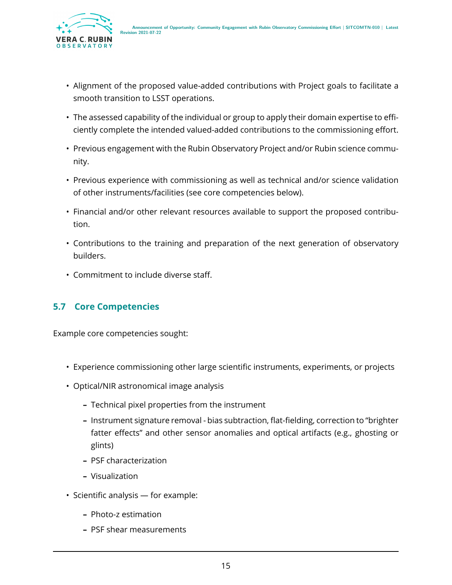

- Alignment of the proposed value-added contributions with Project goals to facilitate a smooth transition to LSST operations.
- The assessed capability of the individual or group to apply their domain expertise to efficiently complete the intended valued-added contributions to the commissioning effort.
- Previous engagement with the Rubin Observatory Project and/or Rubin science community.
- Previous experience with commissioning as well as technical and/or science validation of other instruments/facilities (see core competencies below).
- Financial and/or other relevant resources available to support the proposed contribution.
- Contributions to the training and preparation of the next generation of observatory builders.
- Commitment to include diverse staff.

#### <span id="page-18-0"></span>**5.7 Core Competencies**

Example core competencies sought:

- Experience commissioning other large scientific instruments, experiments, or projects
- Optical/NIR astronomical image analysis
	- **–** Technical pixel properties from the instrument
	- **–** Instrument signature removal bias subtraction, flat-fielding, correction to "brighter fatter effects" and other sensor anomalies and optical artifacts (e.g., ghosting or glints)
	- **–** PSF characterization
	- **–** Visualization
- Scientific analysis for example:
	- **–** Photo-z estimation
	- **–** PSF shear measurements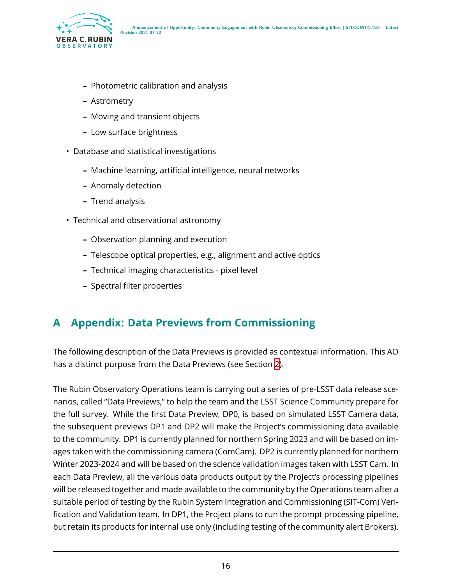

- **–** Photometric calibration and analysis
- **–** Astrometry
- **–** Moving and transient objects
- **–** Low surface brightness
- Database and statistical investigations
	- **–** Machine learning, artificial intelligence, neural networks
	- **–** Anomaly detection
	- **–** Trend analysis
- Technical and observational astronomy
	- **–** Observation planning and execution
	- **–** Telescope optical properties, e.g., alignment and active optics
	- **–** Technical imaging characteristics pixel level
	- **–** Spectral filter properties

# <span id="page-19-0"></span>**A Appendix: Data Previews from Commissioning**

The following description of the Data Previews is provided as contextual information. This AO has a distinct purpose from the Data Previews (see Section [2\)](#page-4-1).

The Rubin Observatory Operations team is carrying out a series of pre-LSST data release scenarios, called "Data Previews," to help the team and the LSST Science Community prepare for the full survey. While the first Data Preview, DP0, is based on simulated LSST Camera data, the subsequent previews DP1 and DP2 will make the Project's commissioning data available to the community. DP1 is currently planned for northern Spring 2023 and will be based on images taken with the commissioning camera (ComCam). DP2 is currently planned for northern Winter 2023-2024 and will be based on the science validation images taken with LSST Cam. In each Data Preview, all the various data products output by the Project's processing pipelines will be released together and made available to the community by the Operations team after a suitable period of testing by the Rubin System Integration and Commissioning (SIT-Com) Verification and Validation team. In DP1, the Project plans to run the prompt processing pipeline, but retain its products for internal use only (including testing of the community alert Brokers).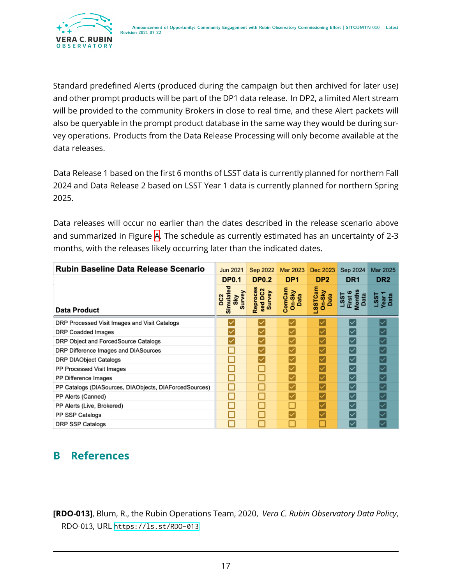

Standard predefined Alerts (produced during the campaign but then archived for later use) and other prompt products will be part of the DP1 data release. In DP2, a limited Alert stream will be provided to the community Brokers in close to real time, and these Alert packets will also be queryable in the prompt product database in the same way they would be during survey operations. Products from the Data Release Processing will only become available at the data releases.

Data Release 1 based on the first 6 months of LSST data is currently planned for northern Fall 2024 and Data Release 2 based on LSST Year 1 data is currently planned for northern Spring 2025.

Data releases will occur no earlier than the dates described in the release scenario above and summarized in Figure [A](#page-19-0). The schedule as currently estimated has an uncertainty of 2-3 months, with the releases likely occurring later than the indicated dates.

| Rubin Baseline Data Release Scenario                   | Jun 2021                                      | Sep 2022                      | Mar 2023                 | Dec 2023                          | Sep 2024                                             | Mar 2025                   |
|--------------------------------------------------------|-----------------------------------------------|-------------------------------|--------------------------|-----------------------------------|------------------------------------------------------|----------------------------|
|                                                        | <b>DP0.1</b>                                  | <b>DP0.2</b>                  | DP <sub>1</sub>          | DP <sub>2</sub>                   | DR <sub>1</sub>                                      | DR <sub>2</sub>            |
| Data Product                                           | Simulated<br>Survey<br>DC <sub>2</sub><br>Sky | Reproces<br>sed DC2<br>Survey | ComCam<br>On-Sky<br>Data | <b>SSTCam</b><br>$On-Sky$<br>Data | <b>Months</b><br>Data<br><b>First</b><br><b>LSS1</b> | Data<br><b>fear</b><br>SS. |
| DRP Processed Visit Images and Visit Catalogs          |                                               |                               |                          |                                   | ∣✓                                                   |                            |
| <b>DRP Coadded Images</b>                              |                                               |                               |                          |                                   |                                                      |                            |
| DRP Object and ForcedSource Catalogs                   |                                               |                               |                          |                                   | ∣✓                                                   |                            |
| DRP Difference Images and DIASources                   |                                               |                               |                          |                                   | ∣✓                                                   |                            |
| <b>DRP DIAObject Catalogs</b>                          |                                               |                               |                          |                                   | ∣✓                                                   |                            |
| PP Processed Visit Images                              |                                               |                               |                          |                                   | ∣✓                                                   |                            |
| PP Difference Images                                   |                                               |                               |                          |                                   | ∣✓                                                   |                            |
| PP Catalogs (DIASources, DIAObjects, DIAForcedSources) |                                               |                               |                          |                                   | ∣✓                                                   |                            |
| PP Alerts (Canned)                                     |                                               |                               |                          |                                   | ∣✓                                                   |                            |
| PP Alerts (Live, Brokered)                             |                                               |                               |                          |                                   | ∣✓                                                   |                            |
| PP SSP Catalogs                                        |                                               |                               |                          |                                   | ∣✓                                                   |                            |
| <b>DRP SSP Catalogs</b>                                |                                               |                               |                          |                                   | ∣✓                                                   |                            |

# <span id="page-20-0"></span>**B References**

<span id="page-20-1"></span>**[RDO-013]**, Blum, R., the Rubin Operations Team, 2020, *Vera C. Rubin Observatory Data Policy*, RDO-013, URL <https://ls.st/RDO-013>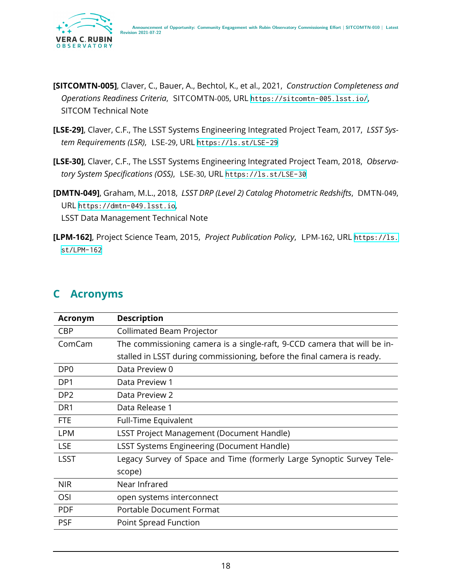

- <span id="page-21-3"></span>**[SITCOMTN-005]**, Claver, C., Bauer, A., Bechtol, K., et al., 2021, *Construction Completeness and Operations Readiness Criteria*, SITCOMTN-005, URL <https://sitcomtn-005.lsst.io/>, SITCOM Technical Note
- <span id="page-21-1"></span>**[LSE-29]**, Claver, C.F., The LSST Systems Engineering Integrated Project Team, 2017, *LSST System Requirements (LSR)*, LSE-29, URL <https://ls.st/LSE-29>
- <span id="page-21-2"></span>**[LSE-30]**, Claver, C.F., The LSST Systems Engineering Integrated Project Team, 2018, *Observatory System Specifications (OSS)*, LSE-30, URL <https://ls.st/LSE-30>
- <span id="page-21-4"></span>**[DMTN-049]**, Graham, M.L., 2018, *LSST DRP (Level 2) Catalog Photometric Redshifts*, DMTN-049, URL <https://dmtn-049.lsst.io>, LSST Data Management Technical Note
- <span id="page-21-5"></span>**[LPM-162]**, Project Science Team, 2015, *Project Publication Policy*, LPM-162, URL [https://ls.](https://ls.st/LPM-162) [st/LPM-162](https://ls.st/LPM-162)

<span id="page-21-0"></span>

|  | <b>Acronyms</b> |
|--|-----------------|
|--|-----------------|

| <b>Acronym</b>  | <b>Description</b>                                                       |
|-----------------|--------------------------------------------------------------------------|
| <b>CBP</b>      | Collimated Beam Projector                                                |
| ComCam          | The commissioning camera is a single-raft, 9-CCD camera that will be in- |
|                 | stalled in LSST during commissioning, before the final camera is ready.  |
| DP <sub>0</sub> | Data Preview 0                                                           |
| DP <sub>1</sub> | Data Preview 1                                                           |
| DP <sub>2</sub> | Data Preview 2                                                           |
| DR <sub>1</sub> | Data Release 1                                                           |
| <b>FTE</b>      | Full-Time Equivalent                                                     |
| <b>LPM</b>      | <b>LSST Project Management (Document Handle)</b>                         |
| <b>LSE</b>      | <b>LSST Systems Engineering (Document Handle)</b>                        |
| <b>LSST</b>     | Legacy Survey of Space and Time (formerly Large Synoptic Survey Tele-    |
|                 | scope)                                                                   |
| <b>NIR</b>      | Near Infrared                                                            |
| OSI             | open systems interconnect                                                |
| <b>PDF</b>      | Portable Document Format                                                 |
| <b>PSF</b>      | Point Spread Function                                                    |